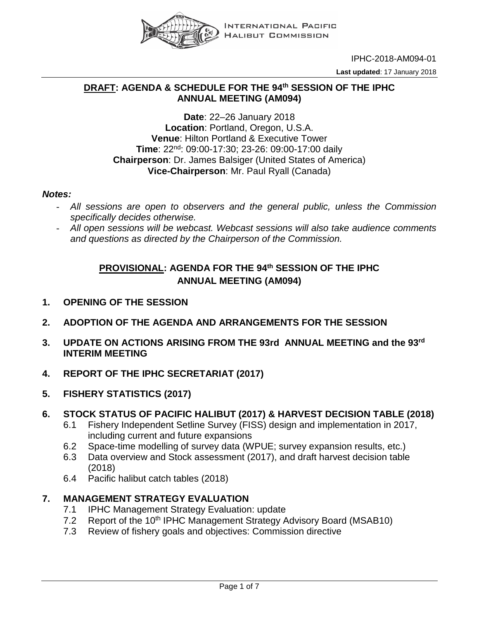

IPHC-2018-AM094-01

**Last updated**: 17 January 2018

## **DRAFT: AGENDA & SCHEDULE FOR THE 94th SESSION OF THE IPHC ANNUAL MEETING (AM094)**

#### **Date**: 22–26 January 2018 **Location**: Portland, Oregon, U.S.A. **Venue**: Hilton Portland & Executive Tower **Time**: 22nd: 09:00-17:30; 23-26: 09:00-17:00 daily **Chairperson**: Dr. James Balsiger (United States of America) **Vice-Chairperson**: Mr. Paul Ryall (Canada)

#### *Notes:*

- *All sessions are open to observers and the general public, unless the Commission specifically decides otherwise.*
- *All open sessions will be webcast. Webcast sessions will also take audience comments and questions as directed by the Chairperson of the Commission.*

# **PROVISIONAL: AGENDA FOR THE 94th SESSION OF THE IPHC ANNUAL MEETING (AM094)**

- **1. OPENING OF THE SESSION**
- **2. ADOPTION OF THE AGENDA AND ARRANGEMENTS FOR THE SESSION**
- **3. UPDATE ON ACTIONS ARISING FROM THE 93rd ANNUAL MEETING and the 93rd INTERIM MEETING**
- **4. REPORT OF THE IPHC SECRETARIAT (2017)**
- **5. FISHERY STATISTICS (2017)**

## **6. STOCK STATUS OF PACIFIC HALIBUT (2017) & HARVEST DECISION TABLE (2018)**

- 6.1 Fishery Independent Setline Survey (FISS) design and implementation in 2017, including current and future expansions
- 6.2 Space-time modelling of survey data (WPUE; survey expansion results, etc.)
- 6.3 Data overview and Stock assessment (2017), and draft harvest decision table (2018)
- 6.4 Pacific halibut catch tables (2018)

## **7. MANAGEMENT STRATEGY EVALUATION**

- 7.1 IPHC Management Strategy Evaluation: update
- 7.2 Report of the 10<sup>th</sup> IPHC Management Strategy Advisory Board (MSAB10)
- 7.3 Review of fishery goals and objectives: Commission directive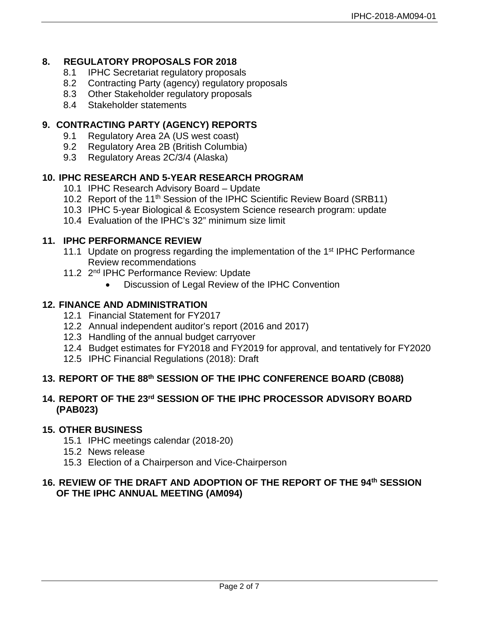## **8. REGULATORY PROPOSALS FOR 2018**

- 8.1 IPHC Secretariat regulatory proposals
- 8.2 Contracting Party (agency) regulatory proposals
- 8.3 Other Stakeholder regulatory proposals
- 8.4 Stakeholder statements

# **9. CONTRACTING PARTY (AGENCY) REPORTS**

- 9.1 Regulatory Area 2A (US west coast)
- 9.2 Regulatory Area 2B (British Columbia)
- 9.3 Regulatory Areas 2C/3/4 (Alaska)

## **10. IPHC RESEARCH AND 5-YEAR RESEARCH PROGRAM**

- 10.1 IPHC Research Advisory Board Update
- 10.2 Report of the 11<sup>th</sup> Session of the IPHC Scientific Review Board (SRB11)
- 10.3 IPHC 5-year Biological & Ecosystem Science research program: update
- 10.4 Evaluation of the IPHC's 32" minimum size limit

#### **11. IPHC PERFORMANCE REVIEW**

- 11.1 Update on progress regarding the implementation of the 1<sup>st</sup> IPHC Performance Review recommendations
- 11.2 2<sup>nd</sup> IPHC Performance Review: Update
	- Discussion of Legal Review of the IPHC Convention

#### **12. FINANCE AND ADMINISTRATION**

- 12.1 Financial Statement for FY2017
- 12.2 Annual independent auditor's report (2016 and 2017)
- 12.3 Handling of the annual budget carryover
- 12.4 Budget estimates for FY2018 and FY2019 for approval, and tentatively for FY2020
- 12.5 IPHC Financial Regulations (2018): Draft

## **13. REPORT OF THE 88th SESSION OF THE IPHC CONFERENCE BOARD (CB088)**

#### **14. REPORT OF THE 23rd SESSION OF THE IPHC PROCESSOR ADVISORY BOARD (PAB023)**

#### **15. OTHER BUSINESS**

- 15.1 IPHC meetings calendar (2018-20)
- 15.2 News release
- 15.3 Election of a Chairperson and Vice-Chairperson

## **16. REVIEW OF THE DRAFT AND ADOPTION OF THE REPORT OF THE 94th SESSION OF THE IPHC ANNUAL MEETING (AM094)**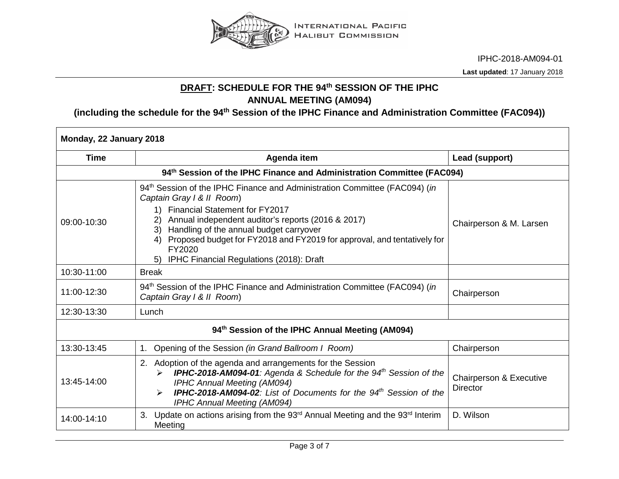

IPHC-2018-AM094-01

**Last updated**: 17 January 2018

# **DRAFT: SCHEDULE FOR THE 94th SESSION OF THE IPHC ANNUAL MEETING (AM094)**

**(including the schedule for the 94th Session of the IPHC Finance and Administration Committee (FAC094))**

| Monday, 22 January 2018                                                |                                                                                                                                                                                                                                                                                                                                                                                         |                                            |  |
|------------------------------------------------------------------------|-----------------------------------------------------------------------------------------------------------------------------------------------------------------------------------------------------------------------------------------------------------------------------------------------------------------------------------------------------------------------------------------|--------------------------------------------|--|
| <b>Time</b>                                                            | Agenda item                                                                                                                                                                                                                                                                                                                                                                             | Lead (support)                             |  |
| 94th Session of the IPHC Finance and Administration Committee (FAC094) |                                                                                                                                                                                                                                                                                                                                                                                         |                                            |  |
| 09:00-10:30                                                            | 94th Session of the IPHC Finance and Administration Committee (FAC094) (in<br>Captain Gray I & II Room)<br>1) Financial Statement for FY2017<br>Annual independent auditor's reports (2016 & 2017)<br>3) Handling of the annual budget carryover<br>Proposed budget for FY2018 and FY2019 for approval, and tentatively for<br>FY2020<br>IPHC Financial Regulations (2018): Draft<br>5) | Chairperson & M. Larsen                    |  |
| 10:30-11:00                                                            | <b>Break</b>                                                                                                                                                                                                                                                                                                                                                                            |                                            |  |
| 11:00-12:30                                                            | 94 <sup>th</sup> Session of the IPHC Finance and Administration Committee (FAC094) (in<br>Captain Gray I & II Room)                                                                                                                                                                                                                                                                     | Chairperson                                |  |
| 12:30-13:30                                                            | Lunch                                                                                                                                                                                                                                                                                                                                                                                   |                                            |  |
| 94th Session of the IPHC Annual Meeting (AM094)                        |                                                                                                                                                                                                                                                                                                                                                                                         |                                            |  |
| 13:30-13:45                                                            | Opening of the Session (in Grand Ballroom I Room)<br>$1_{\cdot}$                                                                                                                                                                                                                                                                                                                        | Chairperson                                |  |
| 13:45-14:00                                                            | 2. Adoption of the agenda and arrangements for the Session<br><b>IPHC-2018-AM094-01:</b> Agenda & Schedule for the $94th$ Session of the<br><b>IPHC Annual Meeting (AM094)</b><br><b>IPHC-2018-AM094-02:</b> List of Documents for the 94 <sup>th</sup> Session of the<br><b>IPHC Annual Meeting (AM094)</b>                                                                            | Chairperson & Executive<br><b>Director</b> |  |
| 14:00-14:10                                                            | 3. Update on actions arising from the 93 <sup>rd</sup> Annual Meeting and the 93 <sup>rd</sup> Interim<br>Meeting                                                                                                                                                                                                                                                                       | D. Wilson                                  |  |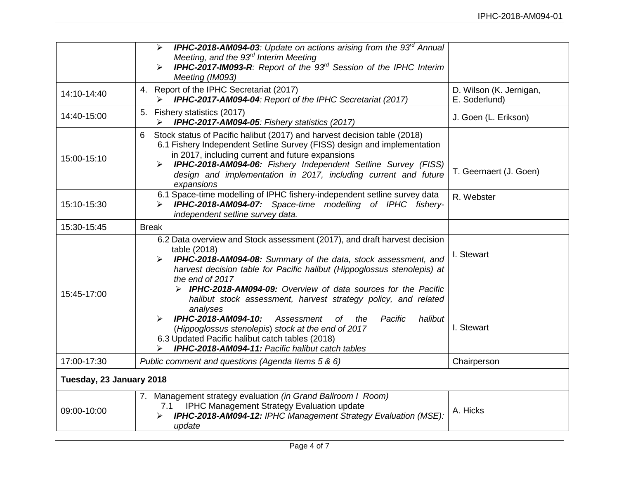|                          | <b>IPHC-2018-AM094-03:</b> Update on actions arising from the $93rd$ Annual<br>➤<br>Meeting, and the 93 <sup>rd</sup> Interim Meeting<br><b>IPHC-2017-IM093-R:</b> Report of the 93 <sup>rd</sup> Session of the IPHC Interim<br>Meeting (IM093)                                                                                                                                                                                                                                                                                               |                                          |
|--------------------------|------------------------------------------------------------------------------------------------------------------------------------------------------------------------------------------------------------------------------------------------------------------------------------------------------------------------------------------------------------------------------------------------------------------------------------------------------------------------------------------------------------------------------------------------|------------------------------------------|
| 14:10-14:40              | 4. Report of the IPHC Secretariat (2017)<br>IPHC-2017-AM094-04: Report of the IPHC Secretariat (2017)                                                                                                                                                                                                                                                                                                                                                                                                                                          | D. Wilson (K. Jernigan,<br>E. Soderlund) |
| 14:40-15:00              | 5. Fishery statistics (2017)<br>IPHC-2017-AM094-05: Fishery statistics (2017)<br>➤                                                                                                                                                                                                                                                                                                                                                                                                                                                             | J. Goen (L. Erikson)                     |
| 15:00-15:10              | Stock status of Pacific halibut (2017) and harvest decision table (2018)<br>6<br>6.1 Fishery Independent Setline Survey (FISS) design and implementation<br>in 2017, including current and future expansions<br><b>IPHC-2018-AM094-06:</b> Fishery Independent Setline Survey (FISS)<br>design and implementation in 2017, including current and future<br>expansions                                                                                                                                                                          | T. Geernaert (J. Goen)                   |
| 15:10-15:30              | 6.1 Space-time modelling of IPHC fishery-independent setline survey data<br><b>IPHC-2018-AM094-07:</b> Space-time modelling of IPHC fishery-<br>➤<br>independent setline survey data.                                                                                                                                                                                                                                                                                                                                                          | R. Webster                               |
| 15:30-15:45              | <b>Break</b>                                                                                                                                                                                                                                                                                                                                                                                                                                                                                                                                   |                                          |
| 15:45-17:00              | 6.2 Data overview and Stock assessment (2017), and draft harvest decision<br>table (2018)<br><b>IPHC-2018-AM094-08:</b> Summary of the data, stock assessment, and<br>harvest decision table for Pacific halibut (Hippoglossus stenolepis) at<br>the end of 2017<br>> IPHC-2018-AM094-09: Overview of data sources for the Pacific<br>halibut stock assessment, harvest strategy policy, and related<br>analyses<br>IPHC-2018-AM094-10:<br>Assessment<br>of<br>the<br>Pacific<br>halibut<br>(Hippoglossus stenolepis) stock at the end of 2017 | I. Stewart<br>I. Stewart                 |
|                          | 6.3 Updated Pacific halibut catch tables (2018)<br><b>IPHC-2018-AM094-11: Pacific halibut catch tables</b>                                                                                                                                                                                                                                                                                                                                                                                                                                     |                                          |
| 17:00-17:30              | Public comment and questions (Agenda Items 5 & 6)                                                                                                                                                                                                                                                                                                                                                                                                                                                                                              | Chairperson                              |
| Tuesday, 23 January 2018 |                                                                                                                                                                                                                                                                                                                                                                                                                                                                                                                                                |                                          |
| 09:00-10:00              | 7. Management strategy evaluation (in Grand Ballroom I Room)<br><b>IPHC Management Strategy Evaluation update</b><br>7.1<br>IPHC-2018-AM094-12: IPHC Management Strategy Evaluation (MSE):<br>update                                                                                                                                                                                                                                                                                                                                           | A. Hicks                                 |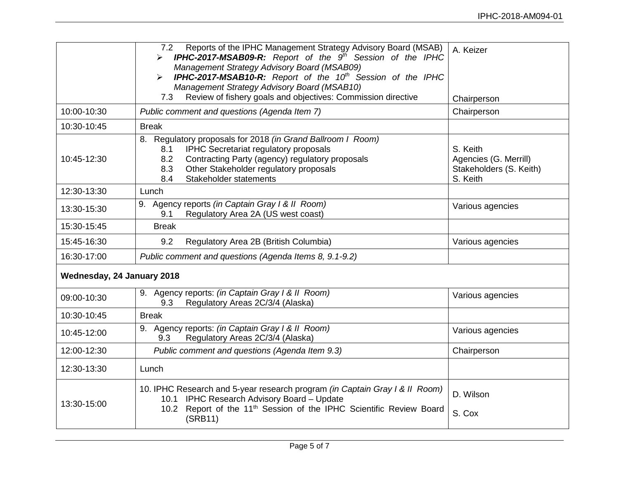|                            | Reports of the IPHC Management Strategy Advisory Board (MSAB)<br>7.2<br>> IPHC-2017-MSAB09-R: Report of the 9 <sup>th</sup> Session of the IPHC<br>Management Strategy Advisory Board (MSAB09)<br><b>IPHC-2017-MSAB10-R:</b> Report of the 10 <sup>th</sup> Session of the IPHC<br>➤<br>Management Strategy Advisory Board (MSAB10)<br>Review of fishery goals and objectives: Commission directive<br>7.3 | A. Keizer<br>Chairperson                                                 |
|----------------------------|------------------------------------------------------------------------------------------------------------------------------------------------------------------------------------------------------------------------------------------------------------------------------------------------------------------------------------------------------------------------------------------------------------|--------------------------------------------------------------------------|
| 10:00-10:30                | Public comment and questions (Agenda Item 7)                                                                                                                                                                                                                                                                                                                                                               | Chairperson                                                              |
| 10:30-10:45                | <b>Break</b>                                                                                                                                                                                                                                                                                                                                                                                               |                                                                          |
| 10:45-12:30                | 8. Regulatory proposals for 2018 (in Grand Ballroom I Room)<br>IPHC Secretariat regulatory proposals<br>8.1<br>Contracting Party (agency) regulatory proposals<br>8.2<br>Other Stakeholder regulatory proposals<br>8.3<br>Stakeholder statements<br>8.4                                                                                                                                                    | S. Keith<br>Agencies (G. Merrill)<br>Stakeholders (S. Keith)<br>S. Keith |
| 12:30-13:30                | Lunch                                                                                                                                                                                                                                                                                                                                                                                                      |                                                                          |
| 13:30-15:30                | 9. Agency reports (in Captain Gray I & II Room)<br>Regulatory Area 2A (US west coast)<br>9.1                                                                                                                                                                                                                                                                                                               | Various agencies                                                         |
| 15:30-15:45                | <b>Break</b>                                                                                                                                                                                                                                                                                                                                                                                               |                                                                          |
| 15:45-16:30                | Regulatory Area 2B (British Columbia)<br>9.2                                                                                                                                                                                                                                                                                                                                                               | Various agencies                                                         |
| 16:30-17:00                | Public comment and questions (Agenda Items 8, 9.1-9.2)                                                                                                                                                                                                                                                                                                                                                     |                                                                          |
| Wednesday, 24 January 2018 |                                                                                                                                                                                                                                                                                                                                                                                                            |                                                                          |
| 09:00-10:30                | 9. Agency reports: (in Captain Gray I & II Room)<br>Regulatory Areas 2C/3/4 (Alaska)<br>9.3                                                                                                                                                                                                                                                                                                                | Various agencies                                                         |
| 10:30-10:45                | <b>Break</b>                                                                                                                                                                                                                                                                                                                                                                                               |                                                                          |
| 10:45-12:00                | 9. Agency reports: (in Captain Gray I & II Room)<br>Regulatory Areas 2C/3/4 (Alaska)<br>9.3                                                                                                                                                                                                                                                                                                                | Various agencies                                                         |
| 12:00-12:30                | Public comment and questions (Agenda Item 9.3)                                                                                                                                                                                                                                                                                                                                                             | Chairperson                                                              |
| 12:30-13:30                | Lunch                                                                                                                                                                                                                                                                                                                                                                                                      |                                                                          |
| 13:30-15:00                | 10. IPHC Research and 5-year research program (in Captain Gray I & II Room)<br>10.1 IPHC Research Advisory Board - Update<br>10.2 Report of the 11 <sup>th</sup> Session of the IPHC Scientific Review Board<br>(SRB11)                                                                                                                                                                                    | D. Wilson<br>S. Cox                                                      |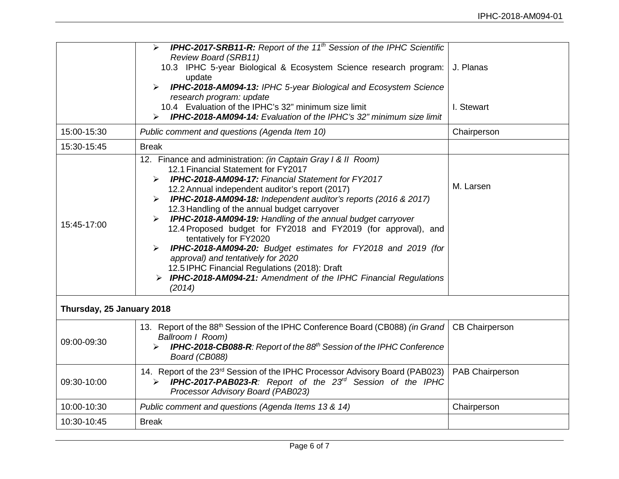|                           | <b>IPHC-2017-SRB11-R:</b> Report of the 11 <sup>th</sup> Session of the IPHC Scientific<br>➤<br><b>Review Board (SRB11)</b><br>10.3 IPHC 5-year Biological & Ecosystem Science research program:<br>update<br>IPHC-2018-AM094-13: IPHC 5-year Biological and Ecosystem Science<br>➤<br>research program: update<br>10.4 Evaluation of the IPHC's 32" minimum size limit<br><b>IPHC-2018-AM094-14:</b> Evaluation of the IPHC's 32" minimum size limit<br>↘                                                                                                                                                                                                                                                                                                             | J. Planas<br>I. Stewart |
|---------------------------|------------------------------------------------------------------------------------------------------------------------------------------------------------------------------------------------------------------------------------------------------------------------------------------------------------------------------------------------------------------------------------------------------------------------------------------------------------------------------------------------------------------------------------------------------------------------------------------------------------------------------------------------------------------------------------------------------------------------------------------------------------------------|-------------------------|
| 15:00-15:30               | Public comment and questions (Agenda Item 10)                                                                                                                                                                                                                                                                                                                                                                                                                                                                                                                                                                                                                                                                                                                          | Chairperson             |
| 15:30-15:45               | <b>Break</b>                                                                                                                                                                                                                                                                                                                                                                                                                                                                                                                                                                                                                                                                                                                                                           |                         |
| 15:45-17:00               | 12. Finance and administration: (in Captain Gray I & II Room)<br>12.1 Financial Statement for FY2017<br><b>IPHC-2018-AM094-17: Financial Statement for FY2017</b><br>➤<br>12.2 Annual independent auditor's report (2017)<br><b>IPHC-2018-AM094-18:</b> Independent auditor's reports (2016 & 2017)<br>➤<br>12.3 Handling of the annual budget carryover<br><b>IPHC-2018-AM094-19:</b> Handling of the annual budget carryover<br>≻<br>12.4 Proposed budget for FY2018 and FY2019 (for approval), and<br>tentatively for FY2020<br>IPHC-2018-AM094-20: Budget estimates for FY2018 and 2019 (for<br>approval) and tentatively for 2020<br>12.5 IPHC Financial Regulations (2018): Draft<br>> IPHC-2018-AM094-21: Amendment of the IPHC Financial Regulations<br>(2014) | M. Larsen               |
| Thursday, 25 January 2018 |                                                                                                                                                                                                                                                                                                                                                                                                                                                                                                                                                                                                                                                                                                                                                                        |                         |
| 09:00-09:30               | 13. Report of the 88th Session of the IPHC Conference Board (CB088) (in Grand<br>Ballroom I Room)<br><b>IPHC-2018-CB088-R:</b> Report of the 88 <sup>th</sup> Session of the IPHC Conference<br>Board (CB088)                                                                                                                                                                                                                                                                                                                                                                                                                                                                                                                                                          | <b>CB Chairperson</b>   |
| 09:30-10:00               | 14. Report of the 23rd Session of the IPHC Processor Advisory Board (PAB023)<br>IPHC-2017-PAB023-R: Report of the 23 <sup>rd</sup> Session of the IPHC<br>➤<br>Processor Advisory Board (PAB023)                                                                                                                                                                                                                                                                                                                                                                                                                                                                                                                                                                       | PAB Chairperson         |
| 10:00-10:30               | Public comment and questions (Agenda Items 13 & 14)                                                                                                                                                                                                                                                                                                                                                                                                                                                                                                                                                                                                                                                                                                                    | Chairperson             |
| 10:30-10:45               | <b>Break</b>                                                                                                                                                                                                                                                                                                                                                                                                                                                                                                                                                                                                                                                                                                                                                           |                         |